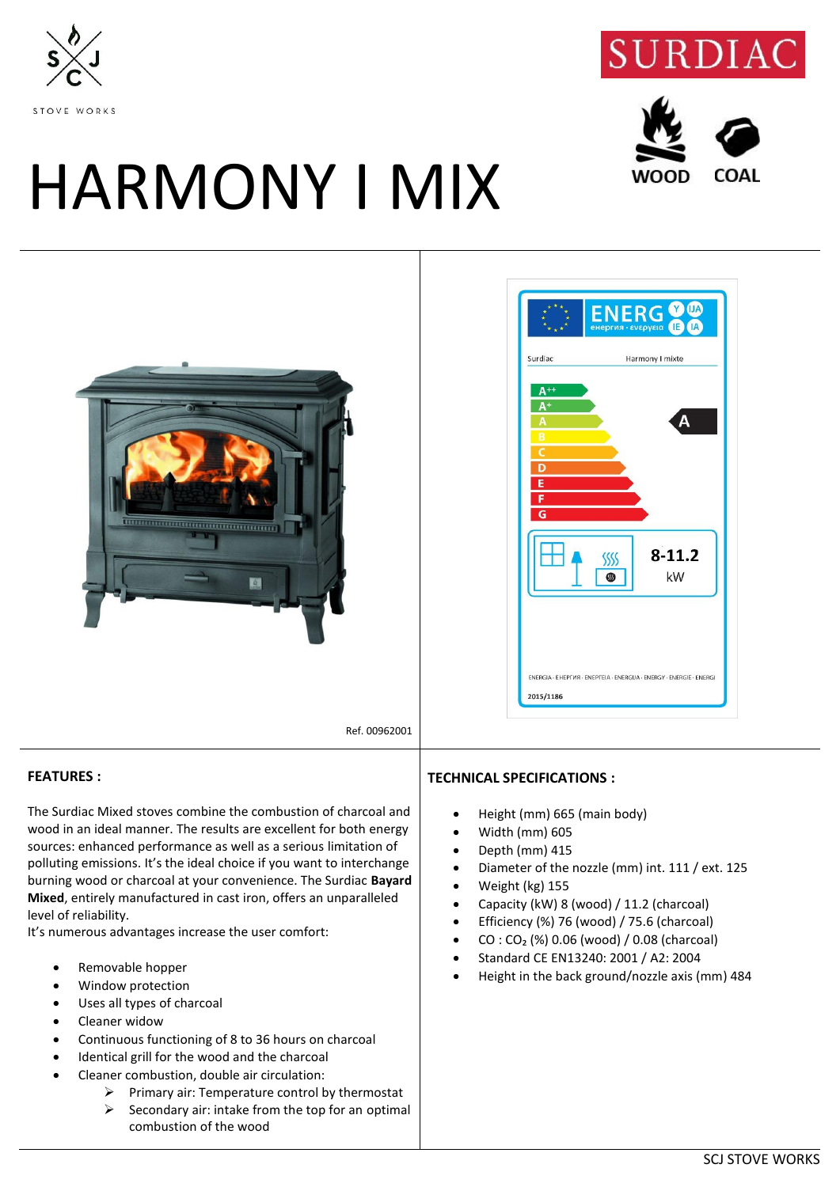





## HARMONY I MIX





Ref. 00962001

## **FEATURES :**

The Surdiac Mixed stoves combine the combustion of charcoal and wood in an ideal manner. The results are excellent for both energy sources: enhanced performance as well as a serious limitation of polluting emissions. It's the ideal choice if you want to interchange burning wood or charcoal at your convenience. The Surdiac **Bayard Mixed**, entirely manufactured in cast iron, offers an unparalleled level of reliability.

It's numerous advantages increase the user comfort:

- Removable hopper
- Window protection
- Uses all types of charcoal
- Cleaner widow
- Continuous functioning of 8 to 36 hours on charcoal
- Identical grill for the wood and the charcoal
- Cleaner combustion, double air circulation:
	- $\triangleright$  Primary air: Temperature control by thermostat
	- $\triangleright$  Secondary air: intake from the top for an optimal combustion of the wood

## **TECHNICAL SPECIFICATIONS :**

- Height (mm) 665 (main body)
- Width (mm) 605
- Depth (mm) 415
- Diameter of the nozzle (mm) int. 111 / ext. 125
- Weight (kg) 155
- Capacity (kW) 8 (wood) / 11.2 (charcoal)
- Efficiency (%) 76 (wood) / 75.6 (charcoal)
- $CO: CO<sub>2</sub>$  (%) 0.06 (wood) / 0.08 (charcoal)
- Standard CE EN13240: 2001 / A2: 2004
- Height in the back ground/nozzle axis (mm) 484